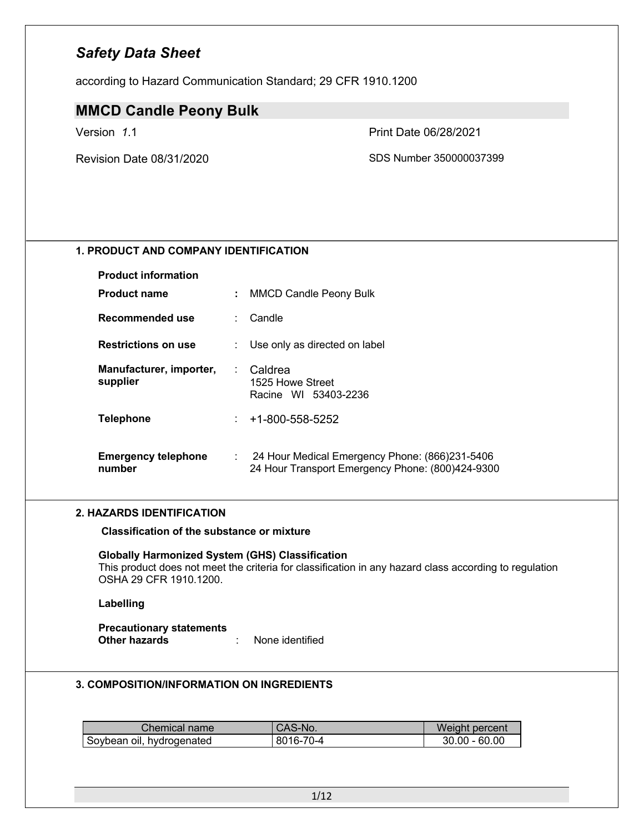according to Hazard Communication Standard; 29 CFR 1910.1200

### **MMCD Candle Peony Bulk**

Version *1*.1 Print Date 06/28/2021

Revision Date 08/31/2020 SDS Number 350000037399

### **1. PRODUCT AND COMPANY IDENTIFICATION**

| <b>Product information</b>           |     |                                                                                                    |
|--------------------------------------|-----|----------------------------------------------------------------------------------------------------|
| <b>Product name</b>                  |     | <b>MMCD Candle Peony Bulk</b>                                                                      |
| Recommended use                      |     | Candle                                                                                             |
| <b>Restrictions on use</b>           |     | Use only as directed on label                                                                      |
| Manufacturer, importer,<br>supplier  | t i | Caldrea<br>1525 Howe Street<br>Racine WI 53403-2236                                                |
| <b>Telephone</b>                     | t.  | +1-800-558-5252                                                                                    |
| <b>Emergency telephone</b><br>number |     | 24 Hour Medical Emergency Phone: (866)231-5406<br>24 Hour Transport Emergency Phone: (800)424-9300 |

#### **2. HAZARDS IDENTIFICATION**

**Classification of the substance or mixture**

#### **Globally Harmonized System (GHS) Classification**

This product does not meet the criteria for classification in any hazard class according to regulation OSHA 29 CFR 1910.1200.

#### **Labelling**

**Precautionary statements Other hazards** : None identified

#### **3. COMPOSITION/INFORMATION ON INGREDIENTS**

| Chemical name i           | 'CAS-No.  | Weight percent  |
|---------------------------|-----------|-----------------|
| Soybean oil, hydrogenated | 8016-70-4 | $30.00 - 60.00$ |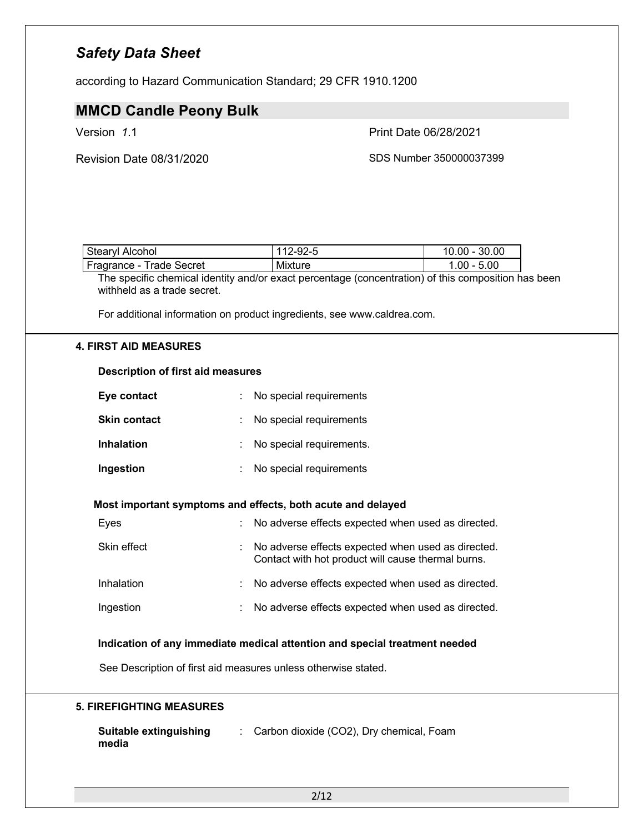according to Hazard Communication Standard; 29 CFR 1910.1200

## **MMCD Candle Peony Bulk**

Version *1*.1 Print Date 06/28/2021

Revision Date 08/31/2020 SDS Number 350000037399

| <b>Stearyl Alcohol</b>             | 112-92-5 | 10.00 - 30.00                    |
|------------------------------------|----------|----------------------------------|
| <b>Trade Secret</b><br>Fragrance - | Mixture  | $.00 - 5.00$                     |
| .<br>$-$                           |          | $\cdots$<br>$\ddot{\phantom{a}}$ |

The specific chemical identity and/or exact percentage (concentration) of this composition has been withheld as a trade secret.

For additional information on product ingredients, see www.caldrea.com.

### **4. FIRST AID MEASURES**

| <b>Description of first aid measures</b>                                   |                                                                                                          |  |  |  |  |  |
|----------------------------------------------------------------------------|----------------------------------------------------------------------------------------------------------|--|--|--|--|--|
| Eye contact                                                                | No special requirements                                                                                  |  |  |  |  |  |
| <b>Skin contact</b>                                                        | No special requirements                                                                                  |  |  |  |  |  |
| <b>Inhalation</b>                                                          | No special requirements.                                                                                 |  |  |  |  |  |
| Ingestion                                                                  | No special requirements                                                                                  |  |  |  |  |  |
| Most important symptoms and effects, both acute and delayed                |                                                                                                          |  |  |  |  |  |
| Eyes                                                                       | No adverse effects expected when used as directed.                                                       |  |  |  |  |  |
| Skin effect                                                                | No adverse effects expected when used as directed.<br>Contact with hot product will cause thermal burns. |  |  |  |  |  |
| Inhalation                                                                 | No adverse effects expected when used as directed.                                                       |  |  |  |  |  |
| Ingestion                                                                  | No adverse effects expected when used as directed.                                                       |  |  |  |  |  |
| Indication of any immediate medical attention and special treatment needed |                                                                                                          |  |  |  |  |  |

See Description of first aid measures unless otherwise stated.

### **5. FIREFIGHTING MEASURES**

| Suitable extinguishing | : Carbon dioxide (CO2), Dry chemical, Foam |
|------------------------|--------------------------------------------|
| media                  |                                            |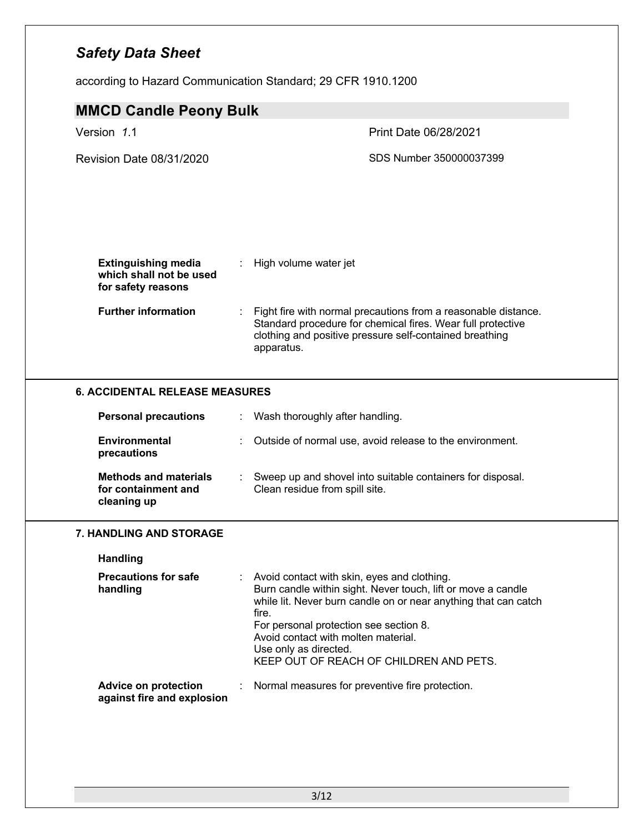according to Hazard Communication Standard; 29 CFR 1910.1200

| <b>MMCD Candle Peony Bulk</b>                                               |       |                                                                                                                                                                                                                                                                                                                                     |  |  |  |
|-----------------------------------------------------------------------------|-------|-------------------------------------------------------------------------------------------------------------------------------------------------------------------------------------------------------------------------------------------------------------------------------------------------------------------------------------|--|--|--|
| Version 1.1                                                                 |       | Print Date 06/28/2021                                                                                                                                                                                                                                                                                                               |  |  |  |
| <b>Revision Date 08/31/2020</b>                                             |       | SDS Number 350000037399                                                                                                                                                                                                                                                                                                             |  |  |  |
| <b>Extinguishing media</b><br>which shall not be used<br>for safety reasons | ÷.    | High volume water jet                                                                                                                                                                                                                                                                                                               |  |  |  |
| <b>Further information</b>                                                  |       | Fight fire with normal precautions from a reasonable distance.<br>Standard procedure for chemical fires. Wear full protective<br>clothing and positive pressure self-contained breathing<br>apparatus.                                                                                                                              |  |  |  |
| <b>6. ACCIDENTAL RELEASE MEASURES</b>                                       |       |                                                                                                                                                                                                                                                                                                                                     |  |  |  |
| <b>Personal precautions</b>                                                 |       | Wash thoroughly after handling.                                                                                                                                                                                                                                                                                                     |  |  |  |
| <b>Environmental</b><br>precautions                                         |       | Outside of normal use, avoid release to the environment.                                                                                                                                                                                                                                                                            |  |  |  |
| <b>Methods and materials</b><br>for containment and<br>cleaning up          | t.    | Sweep up and shovel into suitable containers for disposal.<br>Clean residue from spill site.                                                                                                                                                                                                                                        |  |  |  |
| <b>7. HANDLING AND STORAGE</b>                                              |       |                                                                                                                                                                                                                                                                                                                                     |  |  |  |
| <b>Handling</b>                                                             |       |                                                                                                                                                                                                                                                                                                                                     |  |  |  |
| <b>Precautions for safe</b><br>handling                                     | fire. | Avoid contact with skin, eyes and clothing.<br>Burn candle within sight. Never touch, lift or move a candle<br>while lit. Never burn candle on or near anything that can catch<br>For personal protection see section 8.<br>Avoid contact with molten material.<br>Use only as directed.<br>KEEP OUT OF REACH OF CHILDREN AND PETS. |  |  |  |
| <b>Advice on protection</b><br>against fire and explosion                   |       | Normal measures for preventive fire protection.                                                                                                                                                                                                                                                                                     |  |  |  |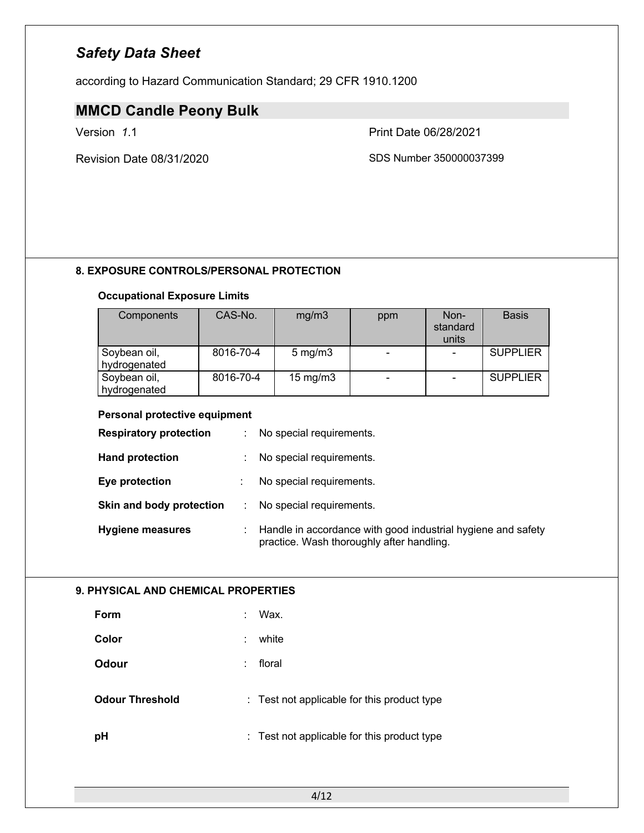according to Hazard Communication Standard; 29 CFR 1910.1200

# **MMCD Candle Peony Bulk**

Revision Date 08/31/2020 SDS Number 350000037399

Version *1*.1 Print Date 06/28/2021

### **8. EXPOSURE CONTROLS/PERSONAL PROTECTION**

### **Occupational Exposure Limits**

| Components                   | CAS-No.   | mg/m3             | ppm | Non-<br>standard<br>units | <b>Basis</b>    |
|------------------------------|-----------|-------------------|-----|---------------------------|-----------------|
| Soybean oil,<br>hydrogenated | 8016-70-4 | $5 \text{ mg/m}$  |     |                           | <b>SUPPLIER</b> |
| Soybean oil,<br>hydrogenated | 8016-70-4 | $15 \text{ mg/m}$ |     |                           | <b>SUPPLIER</b> |

#### **Personal protective equipment**

| <b>Respiratory protection</b> | ÷ | No special requirements.                                                                                  |
|-------------------------------|---|-----------------------------------------------------------------------------------------------------------|
| <b>Hand protection</b>        | ÷ | No special requirements.                                                                                  |
| Eye protection                |   | No special requirements.                                                                                  |
| Skin and body protection      | ÷ | No special requirements.                                                                                  |
| <b>Hygiene measures</b>       | ÷ | Handle in accordance with good industrial hygiene and safety<br>practice. Wash thoroughly after handling. |

### **9. PHYSICAL AND CHEMICAL PROPERTIES**

| Form                   | ÷  | Wax.                                        |
|------------------------|----|---------------------------------------------|
| Color                  | ÷  | white                                       |
| Odour                  | ÷. | floral                                      |
| <b>Odour Threshold</b> |    | : Test not applicable for this product type |
| pH                     |    | : Test not applicable for this product type |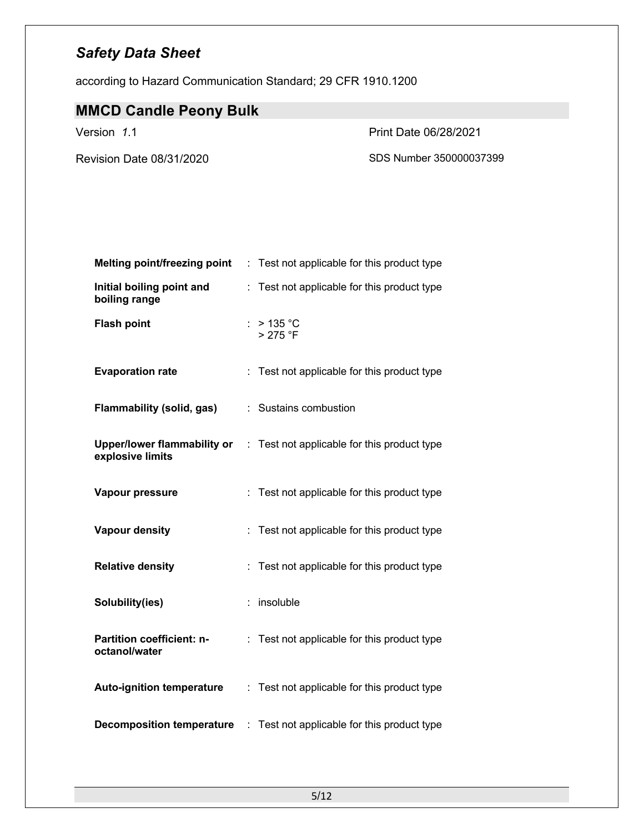according to Hazard Communication Standard; 29 CFR 1910.1200

# **MMCD Candle Peony Bulk**

Version *1*.1 Print Date 06/28/2021

Revision Date 08/31/2020 SDS Number 350000037399

| <b>Melting point/freezing point</b>        | Test not applicable for this product type                                      |
|--------------------------------------------|--------------------------------------------------------------------------------|
| Initial boiling point and<br>boiling range | Test not applicable for this product type<br>t.                                |
| <b>Flash point</b>                         | : $> 135 °C$<br>> 275 °F                                                       |
| <b>Evaporation rate</b>                    | : Test not applicable for this product type                                    |
| <b>Flammability (solid, gas)</b>           | : Sustains combustion                                                          |
| explosive limits                           | <b>Upper/lower flammability or</b> : Test not applicable for this product type |
| Vapour pressure                            | Test not applicable for this product type                                      |
| <b>Vapour density</b>                      | Test not applicable for this product type                                      |
| <b>Relative density</b>                    | Test not applicable for this product type                                      |
| Solubility(ies)                            | insoluble<br>t.                                                                |
| Partition coefficient: n-<br>octanol/water | Test not applicable for this product type<br>÷.                                |
| <b>Auto-ignition temperature</b>           | : Test not applicable for this product type                                    |
| <b>Decomposition temperature</b>           | Test not applicable for this product type<br>t.                                |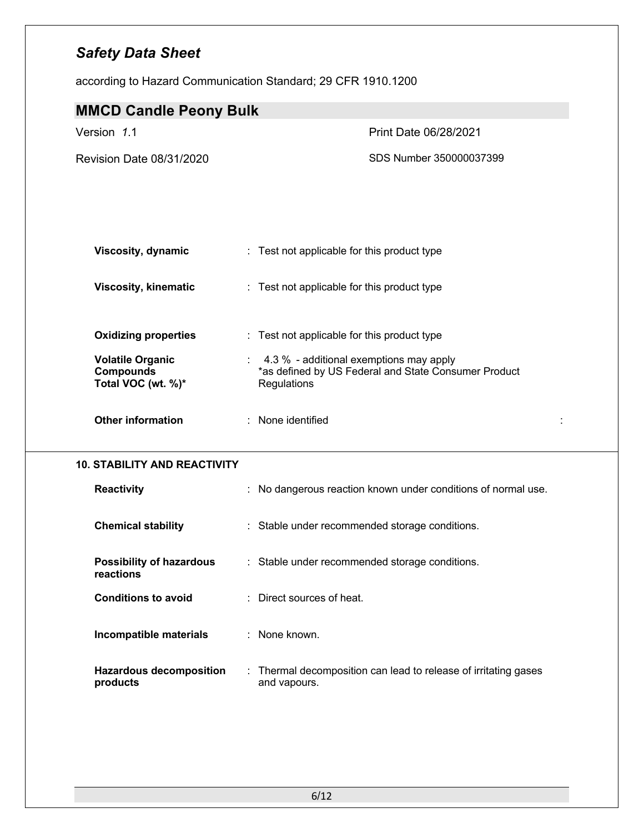according to Hazard Communication Standard; 29 CFR 1910.1200

| <b>MMCD Candle Peony Bulk</b>                                     |                                                                                                                |
|-------------------------------------------------------------------|----------------------------------------------------------------------------------------------------------------|
| Version 1.1                                                       | Print Date 06/28/2021                                                                                          |
| Revision Date 08/31/2020                                          | SDS Number 350000037399                                                                                        |
|                                                                   |                                                                                                                |
| <b>Viscosity, dynamic</b>                                         | : Test not applicable for this product type                                                                    |
| <b>Viscosity, kinematic</b>                                       | : Test not applicable for this product type                                                                    |
| <b>Oxidizing properties</b>                                       | : Test not applicable for this product type                                                                    |
| <b>Volatile Organic</b><br><b>Compounds</b><br>Total VOC (wt. %)* | 4.3 % - additional exemptions may apply<br>*as defined by US Federal and State Consumer Product<br>Regulations |
| <b>Other information</b>                                          | : None identified<br>÷                                                                                         |
| <b>10. STABILITY AND REACTIVITY</b>                               |                                                                                                                |
| <b>Reactivity</b>                                                 | : No dangerous reaction known under conditions of normal use.                                                  |
| <b>Chemical stability</b>                                         | : Stable under recommended storage conditions.                                                                 |
| <b>Possibility of hazardous</b><br>reactions                      | : Stable under recommended storage conditions.                                                                 |
|                                                                   |                                                                                                                |
| <b>Conditions to avoid</b>                                        | : Direct sources of heat.                                                                                      |
| Incompatible materials                                            | : None known.                                                                                                  |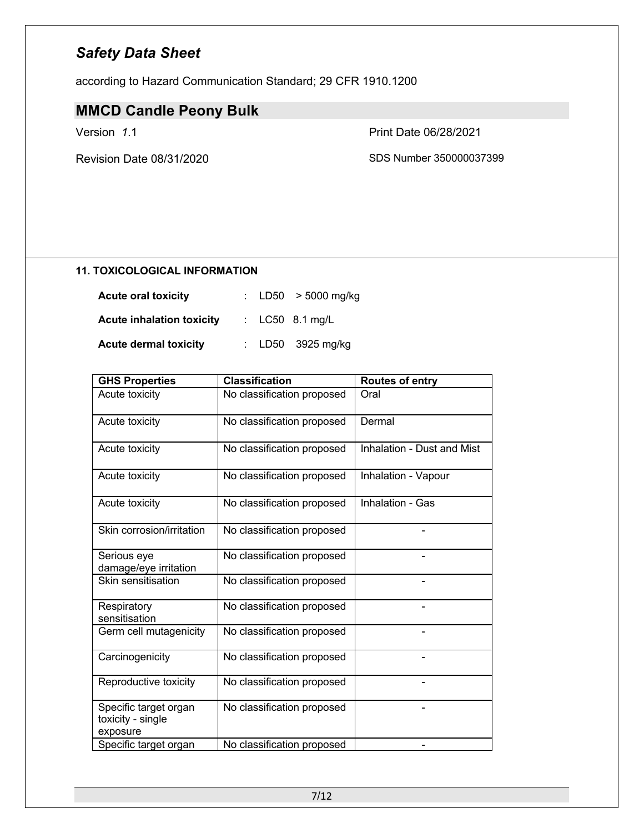according to Hazard Communication Standard; 29 CFR 1910.1200

# **MMCD Candle Peony Bulk**

Version *1*.1 Print Date 06/28/2021

Revision Date 08/31/2020 SDS Number 350000037399

#### **11. TOXICOLOGICAL INFORMATION**

| <b>Acute oral toxicity</b>       |  | : LD50 $>$ 5000 mg/kg |
|----------------------------------|--|-----------------------|
| <b>Acute inhalation toxicity</b> |  | : $LC50$ 8.1 mg/L     |
| <b>Acute dermal toxicity</b>     |  | : $LD50$ 3925 mg/kg   |

| <b>GHS Properties</b>                                  | <b>Classification</b>      | <b>Routes of entry</b>     |
|--------------------------------------------------------|----------------------------|----------------------------|
| Acute toxicity                                         | No classification proposed | Oral                       |
| Acute toxicity                                         | No classification proposed | Dermal                     |
| Acute toxicity                                         | No classification proposed | Inhalation - Dust and Mist |
| Acute toxicity                                         | No classification proposed | Inhalation - Vapour        |
| Acute toxicity                                         | No classification proposed | Inhalation - Gas           |
| Skin corrosion/irritation                              | No classification proposed |                            |
| Serious eye<br>damage/eye irritation                   | No classification proposed |                            |
| Skin sensitisation                                     | No classification proposed |                            |
| Respiratory<br>sensitisation                           | No classification proposed |                            |
| Germ cell mutagenicity                                 | No classification proposed |                            |
| Carcinogenicity                                        | No classification proposed |                            |
| Reproductive toxicity                                  | No classification proposed |                            |
| Specific target organ<br>toxicity - single<br>exposure | No classification proposed |                            |
| Specific target organ                                  | No classification proposed |                            |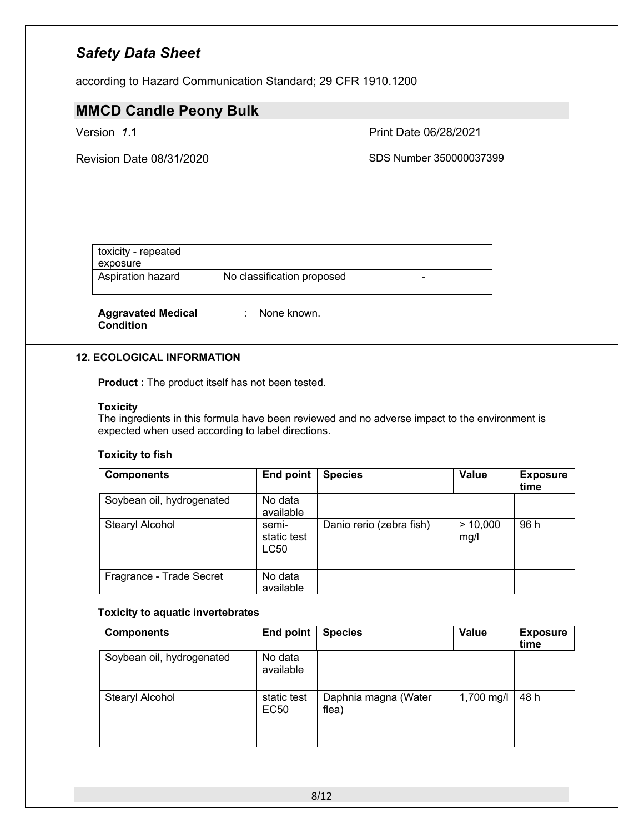according to Hazard Communication Standard; 29 CFR 1910.1200

## **MMCD Candle Peony Bulk**

Version *1*.1 Print Date 06/28/2021

Revision Date 08/31/2020 **SDS Number 350000037399** 

| toxicity - repeated<br>exposure |                            |  |
|---------------------------------|----------------------------|--|
| Aspiration hazard               | No classification proposed |  |

**Aggravated Medical Condition**

: None known.

#### **12. ECOLOGICAL INFORMATION**

**Product :** The product itself has not been tested.

#### **Toxicity**

The ingredients in this formula have been reviewed and no adverse impact to the environment is expected when used according to label directions.

#### **Toxicity to fish**

| <b>Components</b>         | End point                    | <b>Species</b>           | <b>Value</b>     | <b>Exposure</b><br>time |
|---------------------------|------------------------------|--------------------------|------------------|-------------------------|
| Soybean oil, hydrogenated | No data<br>available         |                          |                  |                         |
| Stearyl Alcohol           | semi-<br>static test<br>LC50 | Danio rerio (zebra fish) | > 10,000<br>mg/l | 96 h                    |
| Fragrance - Trade Secret  | No data<br>available         |                          |                  |                         |

#### **Toxicity to aquatic invertebrates**

| <b>Components</b>         | <b>End point</b>     | <b>Species</b>                | Value      | <b>Exposure</b><br>time |
|---------------------------|----------------------|-------------------------------|------------|-------------------------|
| Soybean oil, hydrogenated | No data<br>available |                               |            |                         |
| Stearyl Alcohol           | static test<br>EC50  | Daphnia magna (Water<br>flea) | 1,700 mg/l | 48 h                    |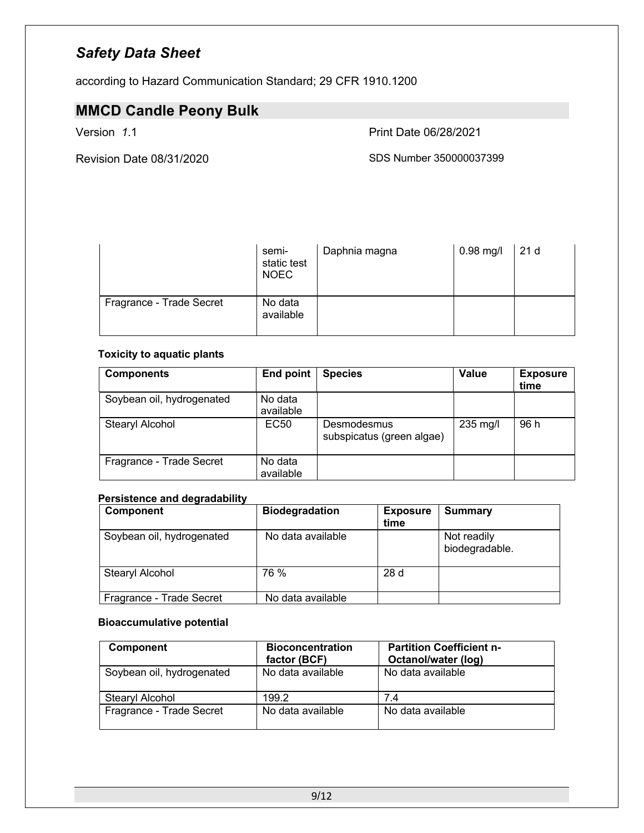according to Hazard Communication Standard; 29 CFR 1910.1200

# **MMCD Candle Peony Bulk**

Version *1*.1 Print Date 06/28/2021

Revision Date 08/31/2020 SDS Number 350000037399

|                          | semi-<br>static test<br><b>NOEC</b> | Daphnia magna | $0.98$ mg/l | 21 <sub>d</sub> |
|--------------------------|-------------------------------------|---------------|-------------|-----------------|
| Fragrance - Trade Secret | No data<br>available                |               |             |                 |

### **Toxicity to aquatic plants**

| <b>Components</b>         | End point            | <b>Species</b>                           | Value    | <b>Exposure</b><br>time |
|---------------------------|----------------------|------------------------------------------|----------|-------------------------|
| Soybean oil, hydrogenated | No data<br>available |                                          |          |                         |
| Stearyl Alcohol           | EC <sub>50</sub>     | Desmodesmus<br>subspicatus (green algae) | 235 mg/l | 96 h                    |
| Fragrance - Trade Secret  | No data<br>available |                                          |          |                         |

### **Persistence and degradability**

| <b>Component</b>          | <b>Biodegradation</b> | <b>Exposure</b> | <b>Summary</b> |
|---------------------------|-----------------------|-----------------|----------------|
|                           |                       | time            |                |
| Soybean oil, hydrogenated | No data available     |                 | Not readily    |
|                           |                       |                 | biodegradable. |
|                           |                       |                 |                |
| Stearyl Alcohol           | 76 %                  | 28d             |                |
|                           |                       |                 |                |
| Fragrance - Trade Secret  | No data available     |                 |                |

#### **Bioaccumulative potential**

| <b>Component</b>          | <b>Bioconcentration</b><br>factor (BCF) | <b>Partition Coefficient n-</b><br>Octanol/water (log) |
|---------------------------|-----------------------------------------|--------------------------------------------------------|
| Soybean oil, hydrogenated | No data available                       | No data available                                      |
| Stearyl Alcohol           | 199.2                                   | 7.4                                                    |
| Fragrance - Trade Secret  | No data available                       | No data available                                      |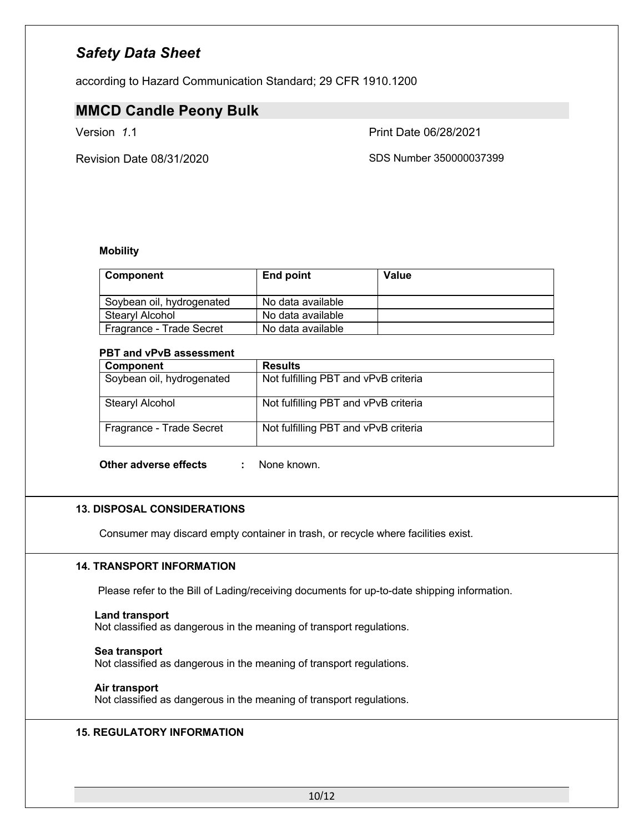according to Hazard Communication Standard; 29 CFR 1910.1200

### **MMCD Candle Peony Bulk**

Version *1*.1 Print Date 06/28/2021

Revision Date 08/31/2020 SDS Number 350000037399

#### **Mobility**

| <b>Component</b>          | End point         | Value |
|---------------------------|-------------------|-------|
| Soybean oil, hydrogenated | No data available |       |
| Stearyl Alcohol           | No data available |       |
| Fragrance - Trade Secret  | No data available |       |

#### **PBT and vPvB assessment**

| Component                 | <b>Results</b>                       |
|---------------------------|--------------------------------------|
| Soybean oil, hydrogenated | Not fulfilling PBT and vPvB criteria |
| Stearyl Alcohol           | Not fulfilling PBT and vPvB criteria |
| Fragrance - Trade Secret  | Not fulfilling PBT and vPvB criteria |

**Other adverse effects :** None known.

### **13. DISPOSAL CONSIDERATIONS**

Consumer may discard empty container in trash, or recycle where facilities exist.

#### **14. TRANSPORT INFORMATION**

Please refer to the Bill of Lading/receiving documents for up-to-date shipping information.

# **Land transport**

Not classified as dangerous in the meaning of transport regulations.

#### **Sea transport**

Not classified as dangerous in the meaning of transport regulations.

#### **Air transport**

Not classified as dangerous in the meaning of transport regulations.

### **15. REGULATORY INFORMATION**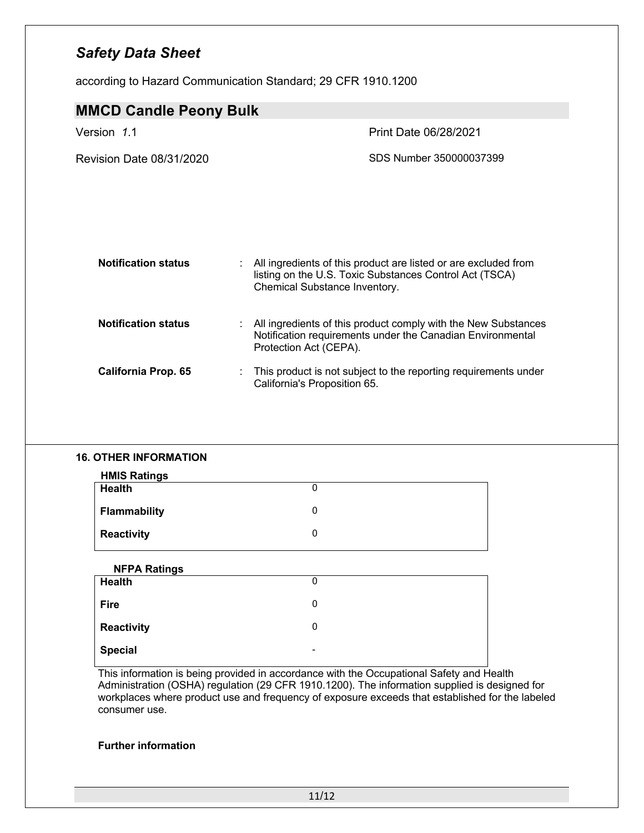according to Hazard Communication Standard; 29 CFR 1910.1200

| <b>MMCD Candle Peony Bulk</b>   |                                                                                                                                                             |
|---------------------------------|-------------------------------------------------------------------------------------------------------------------------------------------------------------|
| Version 1.1                     | <b>Print Date 06/28/2021</b>                                                                                                                                |
| <b>Revision Date 08/31/2020</b> | SDS Number 350000037399                                                                                                                                     |
| <b>Notification status</b>      | All ingredients of this product are listed or are excluded from<br>listing on the U.S. Toxic Substances Control Act (TSCA)<br>Chemical Substance Inventory. |
| <b>Notification status</b>      | All ingredients of this product comply with the New Substances<br>÷<br>Notification requirements under the Canadian Environmental<br>Protection Act (CEPA). |
| <b>California Prop. 65</b>      | This product is not subject to the reporting requirements under<br>California's Proposition 65.                                                             |

### **16. OTHER INFORMATION**

| <b>HMIS Ratings</b> |  |
|---------------------|--|
| <b>Health</b>       |  |
| <b>Flammability</b> |  |
| <b>Reactivity</b>   |  |

| <b>NFPA Ratings</b> |                          |  |
|---------------------|--------------------------|--|
| <b>Health</b>       | 0                        |  |
| <b>Fire</b>         | 0                        |  |
| Reactivity          | 0                        |  |
| Special             | $\overline{\phantom{0}}$ |  |

This information is being provided in accordance with the Occupational Safety and Health Administration (OSHA) regulation (29 CFR 1910.1200). The information supplied is designed for workplaces where product use and frequency of exposure exceeds that established for the labeled consumer use.

### **Further information**